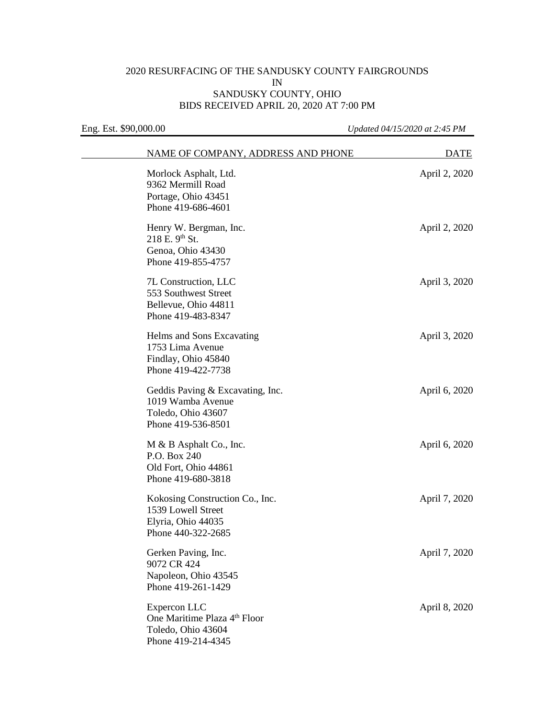## 2020 RESURFACING OF THE SANDUSKY COUNTY FAIRGROUNDS IN SANDUSKY COUNTY, OHIO BIDS RECEIVED APRIL 20, 2020 AT 7:00 PM

Eng. Est. \$90,000.00 *Updated 04/15/2020 at 2:45 PM*

| NAME OF COMPANY, ADDRESS AND PHONE                                                                   | <b>DATE</b>   |
|------------------------------------------------------------------------------------------------------|---------------|
| Morlock Asphalt, Ltd.<br>9362 Mermill Road<br>Portage, Ohio 43451<br>Phone 419-686-4601              | April 2, 2020 |
| Henry W. Bergman, Inc.<br>218 E. 9th St.<br>Genoa, Ohio 43430<br>Phone 419-855-4757                  | April 2, 2020 |
| 7L Construction, LLC<br>553 Southwest Street<br>Bellevue, Ohio 44811<br>Phone 419-483-8347           | April 3, 2020 |
| Helms and Sons Excavating<br>1753 Lima Avenue<br>Findlay, Ohio 45840<br>Phone 419-422-7738           | April 3, 2020 |
| Geddis Paving & Excavating, Inc.<br>1019 Wamba Avenue<br>Toledo, Ohio 43607<br>Phone 419-536-8501    | April 6, 2020 |
| M & B Asphalt Co., Inc.<br>P.O. Box 240<br>Old Fort, Ohio 44861<br>Phone 419-680-3818                | April 6, 2020 |
| Kokosing Construction Co., Inc.<br>1539 Lowell Street<br>Elyria, Ohio 44035<br>Phone 440-322-2685    | April 7, 2020 |
| Gerken Paving, Inc.<br>9072 CR 424<br>Napoleon, Ohio 43545<br>Phone 419-261-1429                     | April 7, 2020 |
| Expercon LLC<br>One Maritime Plaza 4 <sup>th</sup> Floor<br>Toledo, Ohio 43604<br>Phone 419-214-4345 | April 8, 2020 |